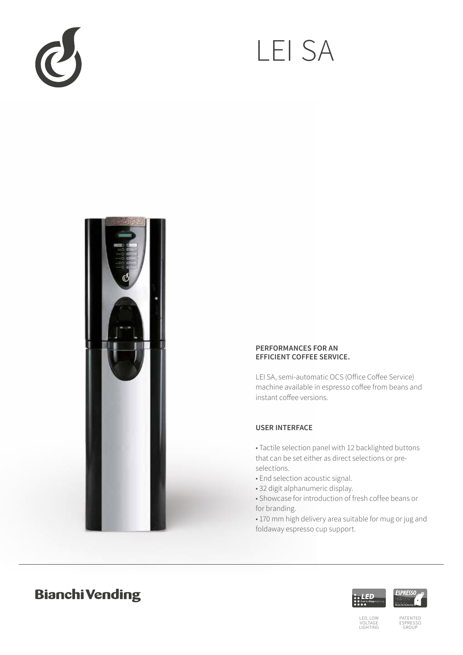

# LEI SA



#### **PERFORMANCES FOR AN EFFICIENT COFFEE SERVICE.**

LEI SA, semi-automatic OCS (Office Coffee Service) machine available in espresso coffee from beans and instant coffee versions.

### **USER INTERFACE**

• Tactile selection panel with 12 backlighted buttons that can be set either as direct selections or preselections.

- End selection acoustic signal.
- 32 digit alphanumeric display.
- Showcase for introduction of fresh coffee beans or for branding.

• 170 mm high delivery area suitable for mug or jug and foldaway espresso cup support.

## **Bianchi Vending**





PATENTED ESPRESSO GROUP